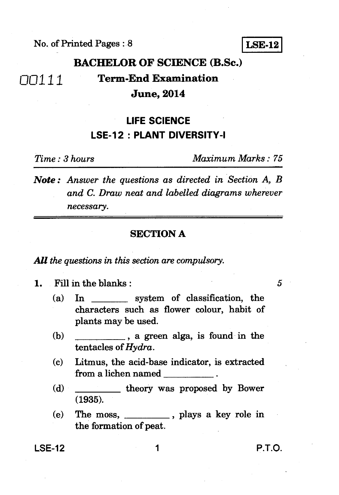No. of Printed Pages : 8

**LSE-12** 

### no 111 **BACHELOR OF SCIENCE (B.Sc.) Term-End Examination June, 2014**

# **LIFE SCIENCE LSE-12 : PLANT DIVERSITY-I**

*Time : 3 hours Maximum Marks : 75* 

*Note : Answer the questions as directed in Section A, B and C. Draw neat and labelled diagrams wherever necessary.* 

#### **SECTION A**

*All the questions in this section are compulsory.* 

**1.** Fill in the blanks : 5

- (a) In system of classification, the characters such as flower colour, habit of plants may be used.
- (b) , a green alga, is found in the tentacles of *Hydra.*
- (c) Litmus, the acid-base indicator, is extracted from a lichen named
- (d) \_\_\_\_\_\_\_\_\_\_\_ theory was proposed by Bower (1935).
- (e) The moss,  $\frac{1}{\sqrt{2}}$ , plays a key role in the formation of peat.

**LSE-12 1 P.T.O.**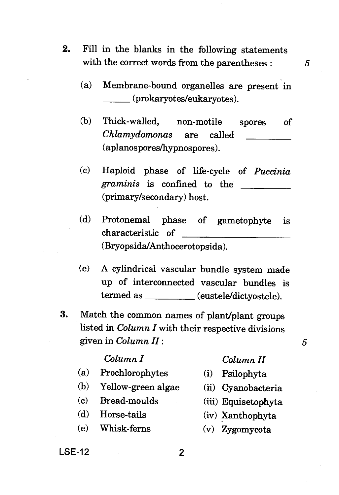2. Fill in the blanks in the following statements with the correct words from the parentheses : *5* 

- (a) Membrane-bound organelles are present in (prokaryotes/eukaryotes).
- (b) Thick-walled, non-motile spores of *Chlamydomonas* are called (aplanospores/hypnospores).
- (c) Haploid phase of life-cycle of *Puccinia graminis* is confined to the (primary/secondary) host.
- (d) Protonemal phase of gametophyte is characteristic of (Bryopsida/Anthocerotopsida).
- (e) A cylindrical vascular bundle system made up of interconnected vascular bundles is termed as (eustele/dictyostele).
- **3.** Match the common names of plant/plant groups listed in *Column I* with their respective divisions given in *Column II* :  $\qquad 5$

#### *Column I*

- (a) Prochlorophytes
- $(b)$ Yellow-green algae
- $(c)$ Bread-moulds
- (d) Horse-tails
- (e) Whisk-ferns

### *Column II*

- (i) Psilophyta
- (ii) Cyanobacteria
- Equisetophyta
- (iv) Xanthophyta
- (v) Zygomycota

**LSE-12**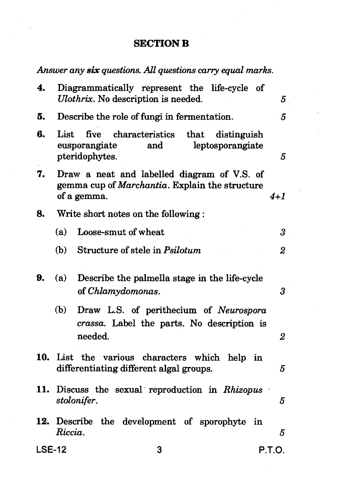## **SECTION B**

*Answer any six questions. All questions carry equal marks.* 

| 4.  |                                                                                                                         | Diagrammatically represent the life-cycle of<br>Ulothrix. No description is needed.                       | 5              |  |
|-----|-------------------------------------------------------------------------------------------------------------------------|-----------------------------------------------------------------------------------------------------------|----------------|--|
| 5.  |                                                                                                                         | Describe the role of fungi in fermentation.                                                               |                |  |
| 6.  | List                                                                                                                    | five characteristics<br>that<br>distinguish<br>eusporangiate<br>and<br>leptosporangiate<br>pteridophytes. | 5              |  |
| 7.  | Draw a neat and labelled diagram of V.S. of<br>gemma cup of Marchantia. Explain the structure<br>of a gemma.<br>$4 + 1$ |                                                                                                           |                |  |
| 8.  | Write short notes on the following:                                                                                     |                                                                                                           |                |  |
|     | (a)                                                                                                                     | Loose-smut of wheat                                                                                       | 3              |  |
|     | (b)                                                                                                                     | Structure of stele in Psilotum                                                                            | $\overline{2}$ |  |
| 9.  | (a)                                                                                                                     | Describe the palmella stage in the life-cycle<br>of Chlamydomonas.                                        | 3              |  |
|     | (b)                                                                                                                     | Draw L.S. of perithecium of Neurospora<br>crassa. Label the parts. No description is<br>needed.           | 2              |  |
| 10. | List the various characters which<br>help in<br>differentiating different algal groups.<br>5                            |                                                                                                           |                |  |
| 11. | Discuss the sexual reproduction in Rhizopus<br>stolonifer.<br>5                                                         |                                                                                                           |                |  |
|     | 12. Describe the development of sporophyte<br>in<br>Riccia.<br>5                                                        |                                                                                                           |                |  |
|     | <b>LSE-12</b><br>3                                                                                                      |                                                                                                           | P.T.O.         |  |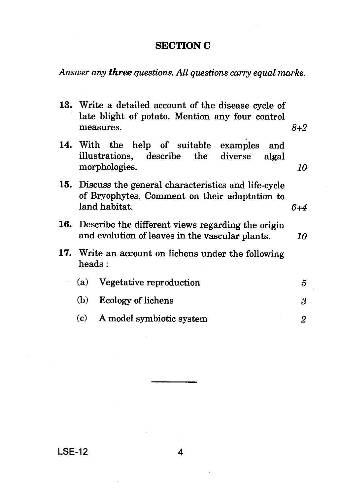### **SECTION C**

*Answer any three questions. All questions carry equal marks.* 

| 13. Write a detailed account of the disease cycle of<br>late blight of potato. Mention any four control                         |                                                                                                                   |     |
|---------------------------------------------------------------------------------------------------------------------------------|-------------------------------------------------------------------------------------------------------------------|-----|
|                                                                                                                                 | measures.                                                                                                         | 8+2 |
|                                                                                                                                 | 14. With the help of suitable examples<br>and<br>illustrations, describe the<br>diverse<br>algal<br>morphologies. | 10  |
| 15. Discuss the general characteristics and life-cycle<br>of Bryophytes. Comment on their adaptation to<br>land habitat.<br>6+4 |                                                                                                                   |     |
| 16. Describe the different views regarding the origin<br>and evolution of leaves in the vascular plants.<br>10                  |                                                                                                                   |     |
| 17. Write an account on lichens under the following<br>heads:                                                                   |                                                                                                                   |     |
| (a)                                                                                                                             | Vegetative reproduction                                                                                           | 5   |
| (b)                                                                                                                             | Ecology of lichens                                                                                                | 3   |
| (c)                                                                                                                             | A model symbiotic system                                                                                          | 2   |

### **LSE-12 4**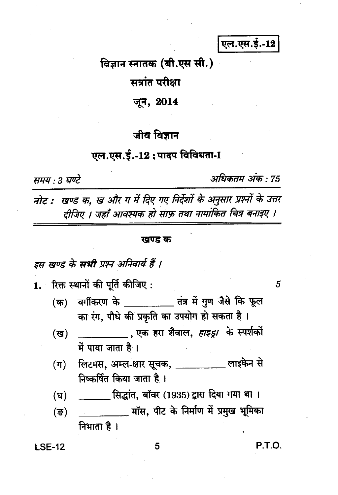एल.एस.ई.-12

# विज्ञान स्नातक (बी.एस सी.)

सत्रांत परीक्षा

## जून, 2014

# जीव विज्ञान

## एल.एस.ई.-12 : पादप विविधता-I

समय : 3 घण्टे

अधिकतम अंक : 75

नोट : खण्ड क, ख और ग में दिए गए निर्देशों के अनुसार प्रश्नों के उत्तर दीजिए । जहाँ आवश्यक हो साफ़ तथा नामांकित चित्र बनाइए ।

#### खण्ड क

इस खण्ड के सभी प्रश्न अनिवार्य हैं ।

रिक्त स्थानों की पूर्ति कीजिए :  $1.$ 

- वर्गीकरण के बाद बात में गुण जैसे कि फूल  $($ क) का रंग, पौधे की प्रकृति का उपयोग हो सकता है।
- . एक हरा शैवाल, *हाइड्रा* के स्पर्शकों (ख) में पाया जाता है।
- लिटमस, अम्ल-क्षार सूचक, \_\_\_\_\_\_\_\_\_\_\_ लाइकेन से  $(\boldsymbol{\pi})$ निष्कर्षित किया जाता है।
- \_\_\_\_\_\_ सिद्धांत, बॉवर (1935) द्वारा दिया गया था । (घ)
- (ক্ত) निभाता है।

#### **LSE-12**

5

P.T.O.

5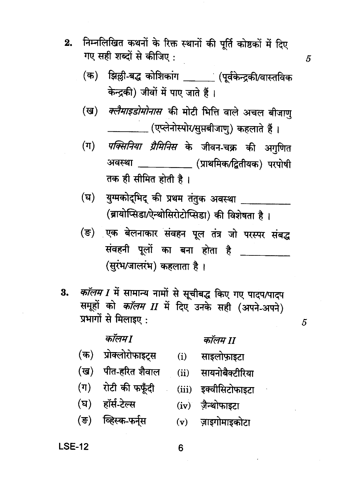- निम्नलिखित कथनों के रिक्त स्थानों की पूर्ति कोष्ठकों में दिए  $2.$ गए सही शब्दों से कीजिए :
	- झिल्ली-बद्ध कोशिकांग \_\_\_\_\_\_\_(पूर्वकेन्द्रकी/वास्तविक (क) केन्द्रकी) जीवों में पाए जाते हैं।
	- *क्लैमाइडोमोनास* की मोटी भित्ति वाले अचल बीजाणु (ख) \_ (एप्लेनोस्पोर⁄सुप्तबीजाणु) कहलाते हैं ।
	- $(\pi)$ *पक्सिनिया ग्रैमिनिस* के जीवन-चक्र की अगुणित अवस्था \_\_\_\_\_\_\_\_\_\_(प्राथमिक/द्वितीयक) परपोषी तक ही सीमित होती है।
	- युग्मकोद्भिद् की प्रथम तंतुक अवस्था \_\_\_\_\_\_\_\_\_\_ (घ) (ब्रायोप्सिडा/ऐन्थोसिरोटोप्सिडा) की विशेषता है।
	- (ङ) एक बेलनाकार संवहन पूल तंत्र जो परस्पर संबद्ध संवहनी पूलों का बना होता है \_\_\_ (सरंभ/जालरंभ) कहलाता है।
- कॉलम I में सामान्य नामों से सूचीबद्ध किए गए पादप/पादप 3. समूहों को *कॉलम II* में दिए उनके सही (अपने-अपने) प्रभागों से मिलाइए:

कॉलम1 (क) प्रोक्लोरोफाइटस

(ख) पीत-हरित शैवाल

(घ) हॉर्स-टेल्स

(ङ) व्हिस्क-फर्नुस

(ग) रोटी की फफूँदी

### कॉलम II

- (i) साइलोफ़ाइटा
	- (ii) सायनोबैक्टीरिया
	- (iii) इक्वीसिटोफाइटा
	- $(iv)$  जैन्थोफाइटा
	- $(v)$ ज़ाइगोमाइकोटा

#### **LSE-12**

6

5

 $\overline{5}$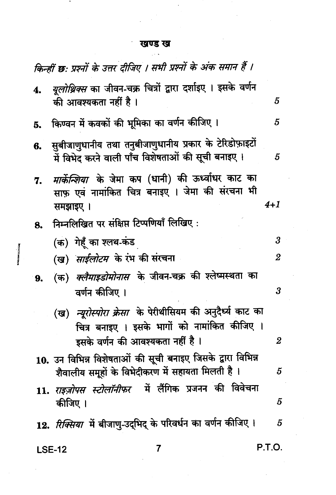#### खण्ड ख  $\sim$   $\sim$

 $\cdot$ 

٠

I

| किन्हीं छ: प्रश्नों के उत्तर दीजिए । सभी प्रश्नों के अंक समान हैं । |                                                                                                                            |                |  |  |
|---------------------------------------------------------------------|----------------------------------------------------------------------------------------------------------------------------|----------------|--|--|
| 4.                                                                  | <i>यूलोथ्रिक्स</i> का जीवन-चक्र चित्रों द्वारा दर्शाइए । इसके वर्णन<br>की आवश्यकता नहीं है ।                               | 5              |  |  |
| 5.                                                                  | किण्वन में कवकों की भूमिका का वर्णन कीजिए ।                                                                                | 5              |  |  |
|                                                                     | 6. सुबीजाणुधानीय तथा तनुबीजाणुधानीय प्रकार के टेरिडोफ़ाइटों<br>में विभेद करने वाली पाँच विशेषताओं की सूची बनाइए।           | 5              |  |  |
| 7.                                                                  | <i>मार्केन्शिया</i> के जेमा कप (धानी) की ऊर्ध्वाधर काट का<br>साफ़ एवं नामांकित चित्र बनाइए । जेमा की संरचना भी<br>समझाइए । | $4 + 1$        |  |  |
| 8.                                                                  | निम्नलिखित पर संक्षिप्त टिप्पणियाँ लिखिए:                                                                                  |                |  |  |
|                                                                     | (क) गेहूँ का श्लथ-कंड                                                                                                      | 3              |  |  |
|                                                                     | (ख) <i>साईलोटम</i> के रंभ की संरचना                                                                                        | 2              |  |  |
| 9.                                                                  | (क) <i>क्लैमाइडोमोनास</i> के जीवन-चक्र की श्लेष्मस्थता का<br>वर्णन कीजिए ।                                                 | 3              |  |  |
|                                                                     | (ख) <i>न्यूरोस्पोरा क्रेसा</i> के पेरीथीसियम की अनुदैर्घ्य काट का                                                          |                |  |  |
|                                                                     | चित्र बनाइए । इसके भागों को नामांकित कीजिए ।                                                                               |                |  |  |
|                                                                     | इसके वर्णन की आवश्यकता नहीं है ।                                                                                           | $\overline{2}$ |  |  |
|                                                                     | 10. उन विभिन्न विशेषताओं की सूची बनाइए जिसके द्वारा विभिन्न<br>शैवालीय समूहों के विभेदीकरण में सहायता मिलती है।            | 5              |  |  |
|                                                                     | 11. <i>राइज़ोपस स्टोलॉनीफर</i> में लैंगिक प्रजनन की विवेचना<br>कीजिए ।                                                     | 5              |  |  |
|                                                                     | 12. <i>रिक्सिया</i> में बीजाणु-उद्भिद् के परिवर्धन का वर्णन कीजिए ।                                                        | 5              |  |  |
|                                                                     | 7<br><b>LSE-12</b>                                                                                                         | P.T.O.         |  |  |